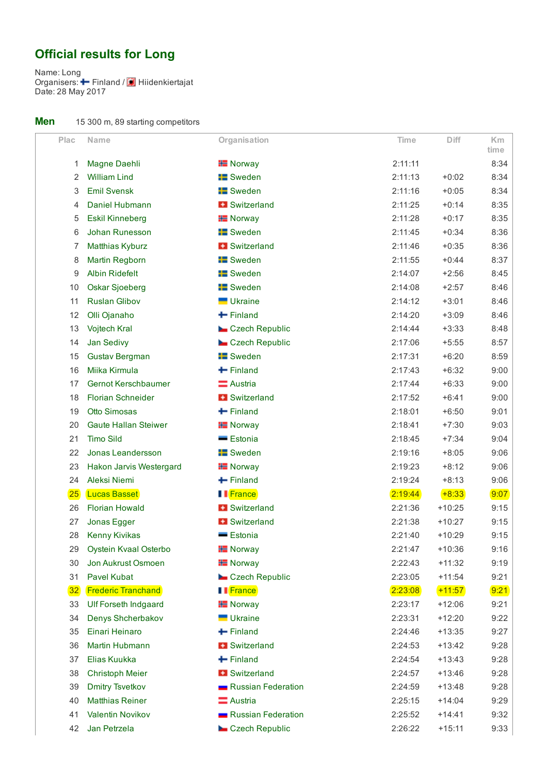## Official results for Long

Name: Long Organisers:  $\blacktriangleright$  Finland / Date: 28 May 2017 Finland / Hiidenkiertajat

| Men |  |  |  |  |  | 15 300 m, 89 starting competitors |
|-----|--|--|--|--|--|-----------------------------------|
|-----|--|--|--|--|--|-----------------------------------|

| Plac | Name                        | Organisation           | <b>Time</b> | <b>Diff</b> | Km           |
|------|-----------------------------|------------------------|-------------|-------------|--------------|
| 1    | Magne Daehli                | <b>H</b> Norway        | 2:11:11     |             | time<br>8:34 |
| 2    | <b>William Lind</b>         | <b>E</b> Sweden        | 2:11:13     | $+0:02$     | 8:34         |
| 3    | <b>Emil Svensk</b>          | <b>E</b> Sweden        | 2:11:16     | $+0:05$     | 8:34         |
| 4    | Daniel Hubmann              | <b>B</b> Switzerland   | 2:11:25     | $+0:14$     | 8:35         |
| 5    | <b>Eskil Kinneberg</b>      | <b>H</b> Norway        | 2:11:28     | $+0:17$     | 8:35         |
| 6    | Johan Runesson              | <b>E</b> Sweden        | 2:11:45     | $+0:34$     | 8:36         |
| 7    | <b>Matthias Kyburz</b>      | <b>H</b> Switzerland   | 2:11:46     | $+0:35$     | 8:36         |
| 8    | Martin Regborn              | <b>E</b> Sweden        | 2:11:55     | $+0:44$     | 8:37         |
| 9    | <b>Albin Ridefelt</b>       | <b>E</b> Sweden        | 2:14:07     | $+2:56$     | 8:45         |
| 10   | <b>Oskar Sjoeberg</b>       | <b>E</b> Sweden        | 2:14:08     | $+2:57$     | 8:46         |
| 11   | <b>Ruslan Glibov</b>        | <b>Ukraine</b>         | 2:14:12     | $+3:01$     | 8:46         |
| 12   | Olli Ojanaho                | $\blacksquare$ Finland | 2:14:20     | $+3:09$     | 8:46         |
| 13   | <b>Vojtech Kral</b>         | Czech Republic         | 2:14:44     | $+3:33$     | 8:48         |
| 14   | Jan Sedivy                  | Czech Republic         | 2:17:06     | $+5:55$     | 8:57         |
| 15   | <b>Gustav Bergman</b>       | <b>E</b> Sweden        | 2:17:31     | $+6:20$     | 8:59         |
| 16   | Miika Kirmula               | $+$ Finland            | 2:17:43     | $+6:32$     | 9:00         |
| 17   | <b>Gernot Kerschbaumer</b>  | Austria                | 2:17:44     | $+6:33$     | 9:00         |
| 18   | <b>Florian Schneider</b>    | <b>H</b> Switzerland   | 2:17:52     | $+6:41$     | 9:00         |
| 19   | <b>Otto Simosas</b>         | $+$ Finland            | 2:18:01     | $+6:50$     | 9:01         |
| 20   | <b>Gaute Hallan Steiwer</b> | <b>H</b> Norway        | 2:18:41     | $+7:30$     | 9:03         |
| 21   | <b>Timo Sild</b>            | <b>Estonia</b>         | 2:18:45     | $+7:34$     | 9:04         |
| 22   | Jonas Leandersson           | <b>E</b> Sweden        | 2:19:16     | $+8:05$     | 9:06         |
| 23   | Hakon Jarvis Westergard     | <b>H</b> Norway        | 2:19:23     | $+8:12$     | 9:06         |
| 24   | Aleksi Niemi                | $+$ Finland            | 2:19:24     | $+8:13$     | 9:06         |
| 25   | <b>Lucas Basset</b>         | <b>I</b> France        | 2:19:44     | $+8:33$     | 9:07         |
| 26   | <b>Florian Howald</b>       | <b>+ Switzerland</b>   | 2:21:36     | $+10:25$    | 9:15         |
| 27   | Jonas Egger                 | <b>H</b> Switzerland   | 2:21:38     | $+10:27$    | 9:15         |
| 28   | <b>Kenny Kivikas</b>        | <b>Estonia</b>         | 2:21:40     | $+10:29$    | 9:15         |
| 29   | Oystein Kvaal Osterbo       | <b>H</b> Norway        | 2:21:47     | $+10:36$    | 9:16         |
| 30   | Jon Aukrust Osmoen          | <b>H</b> Norway        | 2:22:43     | $+11:32$    | 9:19         |
| 31   | <b>Pavel Kubat</b>          | Czech Republic         | 2:23:05     | $+11:54$    | 9:21         |
| 32   | <b>Frederic Tranchand</b>   | I France               | 2:23:08     | $+11:57$    | 9:21         |
| 33   | <b>Ulf Forseth Indgaard</b> | <b>H</b> Norway        | 2:23:17     | $+12:06$    | 9:21         |
| 34   | Denys Shcherbakov           | <b>Ukraine</b>         | 2:23:31     | $+12:20$    | 9:22         |
| 35   | Einari Heinaro              | $\blacksquare$ Finland | 2:24:46     | $+13:35$    | 9:27         |
| 36   | Martin Hubmann              | <b>B</b> Switzerland   | 2:24:53     | $+13:42$    | 9:28         |
| 37   | Elias Kuukka                | $\blacksquare$ Finland | 2:24:54     | $+13:43$    | 9:28         |
| 38   | <b>Christoph Meier</b>      | <b>H</b> Switzerland   | 2:24:57     | $+13:46$    | 9:28         |
| 39   | <b>Dmitry Tsvetkov</b>      | Russian Federation     | 2:24:59     | $+13:48$    | 9:28         |
| 40   | <b>Matthias Reiner</b>      | Austria                | 2:25:15     | $+14:04$    | 9:29         |
| 41   | Valentin Novikov            | Russian Federation     | 2:25:52     | $+14:41$    | 9:32         |
| 42   | Jan Petrzela                | Czech Republic         | 2:26:22     | $+15:11$    | 9:33         |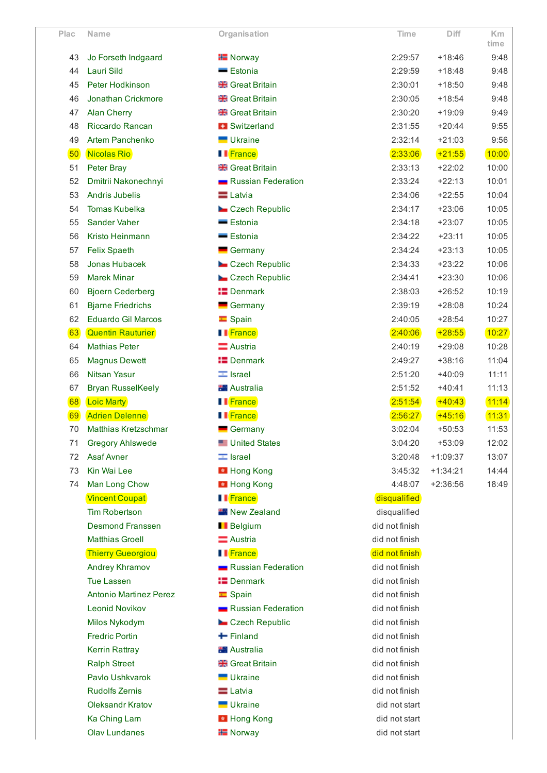| Plac | <b>Name</b>                   | Organisation           | Time           | Diff       | <b>Km</b><br>time |
|------|-------------------------------|------------------------|----------------|------------|-------------------|
| 43   | Jo Forseth Indgaard           | <b>H</b> Norway        | 2:29:57        | $+18:46$   | 9:48              |
| 44   | Lauri Sild                    | <b>Estonia</b>         | 2:29:59        | $+18:48$   | 9:48              |
| 45   | Peter Hodkinson               | <b>Reat Britain</b>    | 2:30:01        | $+18:50$   | 9:48              |
| 46   | Jonathan Crickmore            | <b>Reat Britain</b>    | 2:30:05        | $+18:54$   | 9:48              |
| 47   | <b>Alan Cherry</b>            | <b>Resear Britain</b>  | 2:30:20        | $+19:09$   | 9:49              |
| 48   | Riccardo Rancan               | <b>B</b> Switzerland   | 2:31:55        | $+20:44$   | 9:55              |
| 49   | <b>Artem Panchenko</b>        | <b>Ukraine</b>         | 2:32:14        | $+21:03$   | 9:56              |
| 50   | Nicolas Rio                   | <b>I</b> France        | 2:33:06        | $+21:55$   | 10:00             |
| 51   | Peter Bray                    | <b>Resear Britain</b>  | 2:33:13        | $+22:02$   | 10:00             |
| 52   | Dmitrii Nakonechnyi           | Russian Federation     | 2:33:24        | $+22:13$   | 10:01             |
| 53   | <b>Andris Jubelis</b>         | <b>E</b> Latvia        | 2:34:06        | $+22:55$   | 10:04             |
| 54   | <b>Tomas Kubelka</b>          | Czech Republic         | 2:34:17        | $+23:06$   | 10:05             |
| 55   | <b>Sander Vaher</b>           | <b>Estonia</b>         | 2:34:18        | $+23:07$   | 10:05             |
| 56   | Kristo Heinmann               | <b>Estonia</b>         | 2:34:22        | $+23:11$   | 10:05             |
| 57   | <b>Felix Spaeth</b>           | Germany                | 2:34:24        | $+23:13$   | 10:05             |
| 58   | Jonas Hubacek                 | Czech Republic         | 2:34:33        | $+23:22$   | 10:06             |
| 59   | <b>Marek Minar</b>            | Czech Republic         | 2:34:41        | $+23:30$   | 10:06             |
| 60   | <b>Bjoern Cederberg</b>       | <b>E</b> Denmark       | 2:38:03        | $+26:52$   | 10:19             |
| 61   | <b>Bjarne Friedrichs</b>      | Germany                | 2:39:19        | $+28:08$   | 10:24             |
| 62   | <b>Eduardo Gil Marcos</b>     | $\equiv$ Spain         | 2:40:05        | $+28:54$   | 10:27             |
| 63   | <b>Quentin Rauturier</b>      | II France              | 2:40:06        | $+28:55$   | 10:27             |
| 64   | <b>Mathias Peter</b>          | $\equiv$ Austria       | 2:40:19        | $+29:08$   | 10:28             |
| 65   | <b>Magnus Dewett</b>          | <b>E</b> Denmark       | 2:49:27        | $+38:16$   | 11:04             |
| 66   | <b>Nitsan Yasur</b>           | $\equiv$ Israel        | 2:51:20        | $+40:09$   | 11:11             |
| 67   | <b>Bryan RusselKeely</b>      | <b>No Australia</b>    | 2:51:52        | $+40:41$   | 11:13             |
| 68   | <b>Loic Marty</b>             | <b>I</b> France        | 2:51:54        | $+40:43$   | 11:14             |
| 69   | <b>Adrien Delenne</b>         | I France               | 2:56:27        | $+45:16$   | 11:31             |
| 70   | <b>Matthias Kretzschmar</b>   | $\blacksquare$ Germany | 3:02:04        | $+50:53$   | 11:53             |
| 71   | <b>Gregory Ahlswede</b>       | <b>United States</b>   | 3:04:20        | $+53:09$   | 12:02             |
| 72   | <b>Asaf Avner</b>             | $\equiv$ Israel        | 3:20:48        | $+1:09:37$ | 13:07             |
| 73   | Kin Wai Lee                   | <b>E</b> Hong Kong     | 3:45:32        | $+1:34:21$ | 14:44             |
| 74   | Man Long Chow                 | <b>E</b> Hong Kong     | 4:48:07        | $+2:36:56$ | 18:49             |
|      | <b>Vincent Coupat</b>         | II <sup>France</sup>   | disqualified   |            |                   |
|      | <b>Tim Robertson</b>          | <b>New Zealand</b>     | disqualified   |            |                   |
|      | <b>Desmond Franssen</b>       | <b>Belgium</b>         | did not finish |            |                   |
|      | <b>Matthias Groell</b>        | Austria                | did not finish |            |                   |
|      | <b>Thierry Gueorgiou</b>      | <b>I</b> France        | did not finish |            |                   |
|      | Andrey Khramov                | Russian Federation     | did not finish |            |                   |
|      | <b>Tue Lassen</b>             | <b>I</b> Denmark       | did not finish |            |                   |
|      | <b>Antonio Martinez Perez</b> | $\equiv$ Spain         | did not finish |            |                   |
|      | <b>Leonid Novikov</b>         | Russian Federation     | did not finish |            |                   |
|      | Milos Nykodym                 | Czech Republic         | did not finish |            |                   |
|      | <b>Fredric Portin</b>         | $\blacksquare$ Finland | did not finish |            |                   |
|      | <b>Kerrin Rattray</b>         | <b>Australia</b>       | did not finish |            |                   |
|      | <b>Ralph Street</b>           | <b>Resear Britain</b>  | did not finish |            |                   |
|      | Pavlo Ushkvarok               | Ukraine                | did not finish |            |                   |
|      | <b>Rudolfs Zernis</b>         | $\equiv$ Latvia        | did not finish |            |                   |
|      | Oleksandr Kratov              | <b>Ukraine</b>         | did not start  |            |                   |
|      | Ka Ching Lam                  | <b>E</b> Hong Kong     | did not start  |            |                   |
|      | <b>Olav Lundanes</b>          | <b>H</b> Norway        | did not start  |            |                   |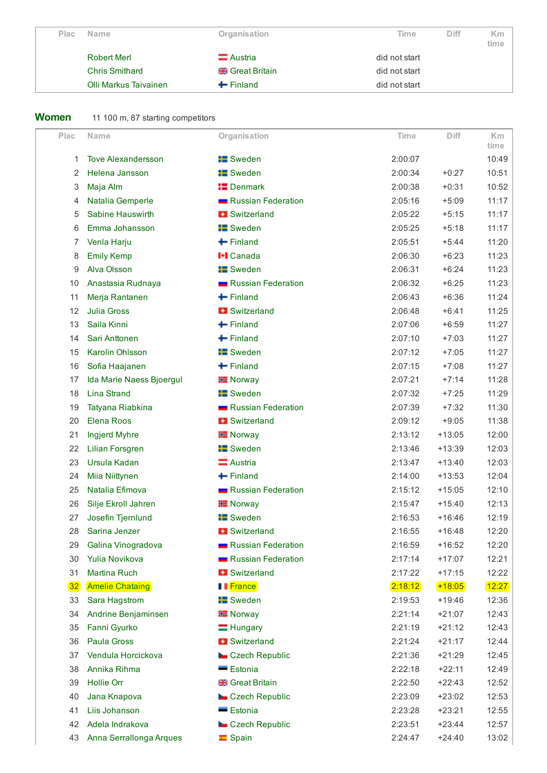| <b>Plac</b> | <b>Name</b>           | Organisation             | Time          | Diff | <b>Km</b><br>time |
|-------------|-----------------------|--------------------------|---------------|------|-------------------|
|             | <b>Robert Merl</b>    | $\equiv$ Austria         | did not start |      |                   |
|             | <b>Chris Smithard</b> | <b>SHE</b> Great Britain | did not start |      |                   |
|             | Olli Markus Taivainen | $\div$ Finland           | did not start |      |                   |

## Women 11 100 m, 87 starting competitors

| Plac | <b>Name</b>               | Organisation             | Time    | Diff     | K <sub>m</sub><br>time |
|------|---------------------------|--------------------------|---------|----------|------------------------|
| 1    | <b>Tove Alexandersson</b> | <b>E</b> Sweden          | 2:00:07 |          | 10:49                  |
| 2    | Helena Jansson            | <b>E</b> Sweden          | 2:00:34 | $+0:27$  | 10:51                  |
| 3    | Maja Alm                  | $\blacksquare$ Denmark   | 2:00:38 | $+0:31$  | 10:52                  |
| 4    | Natalia Gemperle          | Russian Federation       | 2:05:16 | $+5:09$  | 11:17                  |
| 5    | Sabine Hauswirth          | <b>H</b> Switzerland     | 2:05:22 | $+5:15$  | 11:17                  |
| 6    | Emma Johansson            | <b>Example 15</b> Sweden | 2:05:25 | $+5:18$  | 11:17                  |
| 7    | Venla Harju               | $\blacksquare$ Finland   | 2:05:51 | $+5:44$  | 11:20                  |
| 8    | <b>Emily Kemp</b>         | <b>I-I</b> Canada        | 2:06:30 | $+6:23$  | 11:23                  |
| 9    | Alva Olsson               | <b>E</b> Sweden          | 2:06:31 | $+6:24$  | 11:23                  |
| 10   | Anastasia Rudnaya         | Russian Federation       | 2:06:32 | $+6:25$  | 11:23                  |
| 11   | Merja Rantanen            | $\blacksquare$ Finland   | 2:06:43 | $+6:36$  | 11:24                  |
| 12   | <b>Julia Gross</b>        | <b>H</b> Switzerland     | 2:06:48 | $+6:41$  | 11:25                  |
| 13   | Saila Kinni               | $+$ Finland              | 2:07:06 | $+6:59$  | 11:27                  |
| 14   | Sari Anttonen             | $\leftarrow$ Finland     | 2:07:10 | $+7:03$  | 11:27                  |
| 15   | Karolin Ohlsson           | <b>E</b> Sweden          | 2:07:12 | $+7:05$  | 11:27                  |
| 16   | Sofia Haajanen            | $+$ Finland              | 2:07:15 | $+7:08$  | 11:27                  |
| 17   | Ida Marie Naess Bjoergul  | <b>H</b> Norway          | 2:07:21 | $+7:14$  | 11:28                  |
| 18   | <b>Lina Strand</b>        | <b>Example 15</b> Sweden | 2:07:32 | $+7:25$  | 11:29                  |
| 19   | Tatyana Riabkina          | Russian Federation       | 2:07:39 | $+7:32$  | 11:30                  |
| 20   | Elena Roos                | <b>+ Switzerland</b>     | 2:09:12 | $+9:05$  | 11:38                  |
| 21   | Ingjerd Myhre             | <b>H</b> Norway          | 2:13:12 | $+13:05$ | 12:00                  |
| 22   | <b>Lilian Forsgren</b>    | <b>Example 15</b> Sweden | 2:13:46 | $+13:39$ | 12:03                  |
| 23   | Ursula Kadan              | <b>E</b> Austria         | 2:13:47 | $+13:40$ | 12:03                  |
| 24   | Miia Niittynen            | $+$ Finland              | 2:14:00 | $+13:53$ | 12:04                  |
| 25   | Natalia Efimova           | Russian Federation       | 2:15:12 | $+15:05$ | 12:10                  |
| 26   | Silje Ekroll Jahren       | <b>H</b> Norway          | 2:15:47 | $+15:40$ | 12:13                  |
| 27   | Josefin Tjernlund         | <b>E</b> Sweden          | 2:16:53 | $+16:46$ | 12:19                  |
| 28   | Sarina Jenzer             | <b>H</b> Switzerland     | 2:16:55 | $+16:48$ | 12:20                  |
| 29   | Galina Vinogradova        | Russian Federation       | 2:16:59 | $+16:52$ | 12:20                  |
| 30   | Yulia Novikova            | Russian Federation       | 2:17:14 | $+17:07$ | 12:21                  |
| 31   | Martina Ruch              | <b>H</b> Switzerland     | 2:17:22 | $+17:15$ | 12:22                  |
| 32   | <b>Amelie Chataing</b>    | <b>Il</b> France         | 2:18:12 | $+18:05$ | 12:27                  |
| 33   | Sara Hagstrom             | <b>B</b> Sweden          | 2:19:53 | $+19:46$ | 12:36                  |
| 34   | Andrine Benjaminsen       | <b>H</b> Norway          | 2:21:14 | $+21:07$ | 12:43                  |
| 35   | Fanni Gyurko              | $=$ Hungary              | 2:21:19 | $+21:12$ | 12:43                  |
| 36   | <b>Paula Gross</b>        | + Switzerland            | 2:21:24 | $+21:17$ | 12:44                  |
| 37   | Vendula Horcickova        | Czech Republic           | 2:21:36 | $+21:29$ | 12:45                  |
| 38   | Annika Rihma              | Estonia                  | 2:22:18 | $+22:11$ | 12:49                  |
| 39   | <b>Hollie Orr</b>         | <b>Reat Britain</b>      | 2:22:50 | $+22:43$ | 12:52                  |
| 40   | Jana Knapova              | Czech Republic           | 2:23:09 | $+23:02$ | 12:53                  |
| 41   | Liis Johanson             | - Estonia                | 2:23:28 | $+23:21$ | 12:55                  |
| 42   | Adela Indrakova           | Czech Republic           | 2:23:51 | $+23:44$ | 12:57                  |
| 43   | Anna Serrallonga Arques   | $\equiv$ Spain           | 2:24:47 | $+24:40$ | 13:02                  |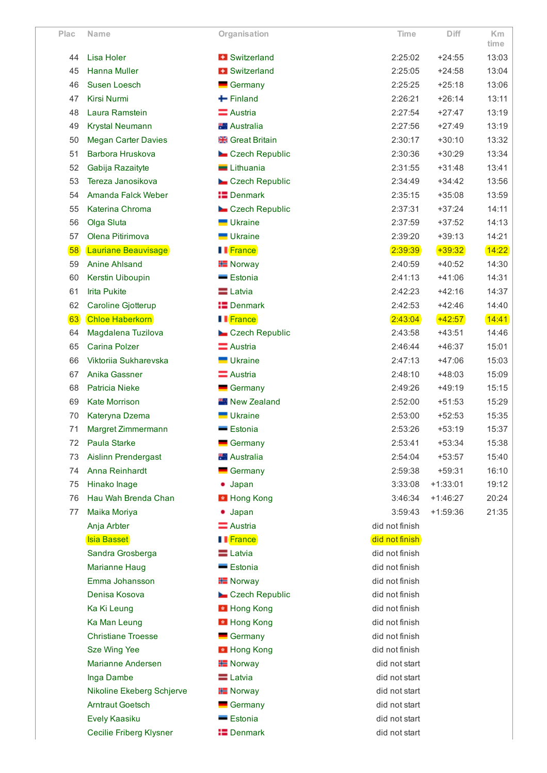| Plac | Name                           | Organisation           | Time           | Diff       | <b>Km</b><br>time |
|------|--------------------------------|------------------------|----------------|------------|-------------------|
| 44   | Lisa Holer                     | <b>+ Switzerland</b>   | 2:25:02        | $+24:55$   | 13:03             |
| 45   | <b>Hanna Muller</b>            | <b>H</b> Switzerland   | 2:25:05        | $+24:58$   | 13:04             |
| 46   | Susen Loesch                   | Germany                | 2:25:25        | $+25:18$   | 13:06             |
| 47   | <b>Kirsi Nurmi</b>             | $\blacksquare$ Finland | 2:26:21        | $+26:14$   | 13:11             |
| 48   | Laura Ramstein                 | Austria                | 2:27:54        | $+27:47$   | 13:19             |
| 49   | <b>Krystal Neumann</b>         | <b>No Australia</b>    | 2:27:56        | $+27:49$   | 13:19             |
| 50   | <b>Megan Carter Davies</b>     | <b>Reat Britain</b>    | 2:30:17        | $+30:10$   | 13:32             |
| 51   | Barbora Hruskova               | Czech Republic         | 2:30:36        | $+30:29$   | 13:34             |
| 52   | Gabija Razaityte               | Lithuania              | 2:31:55        | $+31:48$   | 13:41             |
| 53   | Tereza Janosikova              | Czech Republic         | 2:34:49        | $+34:42$   | 13:56             |
| 54   | Amanda Falck Weber             | <b>E</b> Denmark       | 2:35:15        | $+35:08$   | 13:59             |
| 55   | Katerina Chroma                | Czech Republic         | 2:37:31        | $+37:24$   | 14:11             |
| 56   | Olga Sluta                     | Ukraine                | 2:37:59        | $+37:52$   | 14:13             |
| 57   | Olena Pitirimova               | <b>Ukraine</b>         | 2:39:20        | $+39:13$   | 14:21             |
| 58   | Lauriane Beauvisage            | II France              | 2:39:39        | $+39:32$   | 14:22             |
| 59   | <b>Anine Ahlsand</b>           | <b>H</b> Norway        | 2:40:59        | $+40:52$   | 14:30             |
| 60   | Kerstin Uiboupin               | - Estonia              | 2:41:13        | $+41:06$   | 14:31             |
| 61   | <b>Irita Pukite</b>            | <b>E</b> Latvia        | 2:42:23        | $+42:16$   | 14:37             |
| 62   | Caroline Gjotterup             | <b>I</b> Denmark       | 2:42:53        | $+42:46$   | 14:40             |
| 63   | <b>Chloe Haberkorn</b>         | <b>I</b> France        | 2:43:04        | $+42:57$   | 14:41             |
| 64   | Magdalena Tuzilova             | Czech Republic         | 2:43:58        | $+43:51$   | 14:46             |
| 65   | <b>Carina Polzer</b>           | Austria                | 2:46:44        | $+46:37$   | 15:01             |
| 66   | Viktoriia Sukharevska          | <b>Ukraine</b>         | 2:47:13        | $+47:06$   | 15:03             |
| 67   | Anika Gassner                  | $\equiv$ Austria       | 2:48:10        | $+48:03$   | 15:09             |
| 68   | <b>Patricia Nieke</b>          | Germany                | 2:49:26        | $+49:19$   | 15:15             |
| 69   | <b>Kate Morrison</b>           | <b>New Zealand</b>     | 2:52:00        | $+51:53$   | 15:29             |
| 70   | Kateryna Dzema                 | Ukraine                | 2:53:00        | $+52:53$   | 15:35             |
| 71   | Margret Zimmermann             | - Estonia              | 2:53:26        | $+53:19$   | 15:37             |
| 72   | Paula Starke                   | Germany                | 2:53:41        | $+53:34$   | 15:38             |
| 73   | Aislinn Prendergast            | <b>Australia</b>       | 2:54:04        | $+53:57$   | 15:40             |
| 74   | Anna Reinhardt                 | Germany                | 2:59:38        | $+59:31$   | 16:10             |
| 75   | Hinako Inage                   | $\bullet$ Japan        | 3:33:08        | $+1:33:01$ | 19:12             |
| 76   | Hau Wah Brenda Chan            | Hong Kong              | 3:46:34        | $+1:46:27$ | 20:24             |
| 77   | Maika Moriya                   | Japan                  | 3:59:43        | $+1:59:36$ | 21:35             |
|      | Anja Arbter                    | Austria                | did not finish |            |                   |
|      | Isia Basset                    | <b>I</b> France        | did not finish |            |                   |
|      | Sandra Grosberga               | $\equiv$ Latvia        | did not finish |            |                   |
|      | <b>Marianne Haug</b>           | Estonia                | did not finish |            |                   |
|      | Emma Johansson                 | <b>H</b> Norway        | did not finish |            |                   |
|      | Denisa Kosova                  | Czech Republic         | did not finish |            |                   |
|      | Ka Ki Leung                    | <b>E</b> Hong Kong     | did not finish |            |                   |
|      | Ka Man Leung                   | <b>E</b> Hong Kong     | did not finish |            |                   |
|      | <b>Christiane Troesse</b>      | $\blacksquare$ Germany | did not finish |            |                   |
|      | Sze Wing Yee                   | <b>E</b> Hong Kong     | did not finish |            |                   |
|      | <b>Marianne Andersen</b>       | <b>H</b> Norway        | did not start  |            |                   |
|      | Inga Dambe                     | $\equiv$ Latvia        | did not start  |            |                   |
|      | Nikoline Ekeberg Schjerve      | <b>H</b> Norway        | did not start  |            |                   |
|      | <b>Arntraut Goetsch</b>        | $\blacksquare$ Germany | did not start  |            |                   |
|      | Evely Kaasiku                  | Estonia                | did not start  |            |                   |
|      | <b>Cecilie Friberg Klysner</b> | <b>IS</b> Denmark      | did not start  |            |                   |